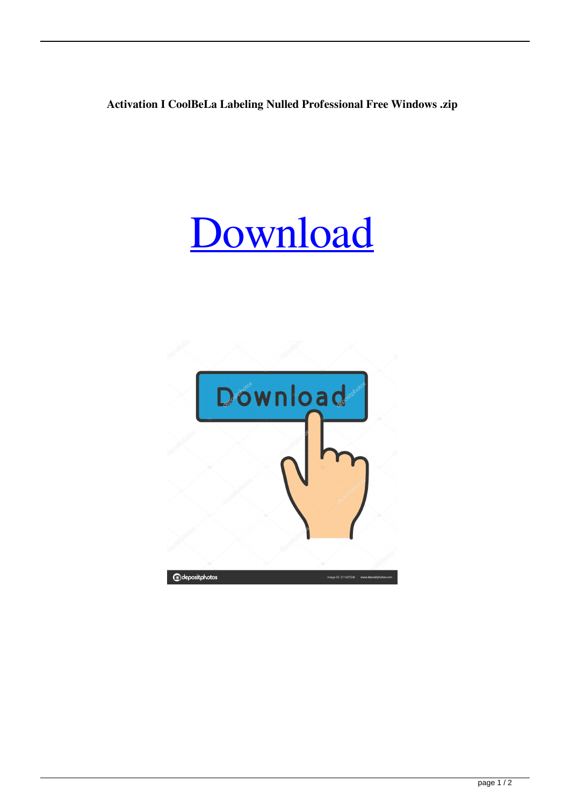**Activation I CoolBeLa Labeling Nulled Professional Free Windows .zip**

## [Download](http://evacdir.com/slone/glassbreak/rosenow/aWNkLkNvb2xCZUxhLkxhYmVsaW5nLnNvZnR3YXJlLkhlcm1vZHJpcCBTZXJpYWwgS2V5aWN/juicier/ZG93bmxvYWR8M1l6YW10dWZId3hOalV5TnpRd09EWTJmSHd5TlRjMGZId29UU2tnY21WaFpDMWliRzluSUZ0R1lYTjBJRWRGVGww/multifunctional..regnis)